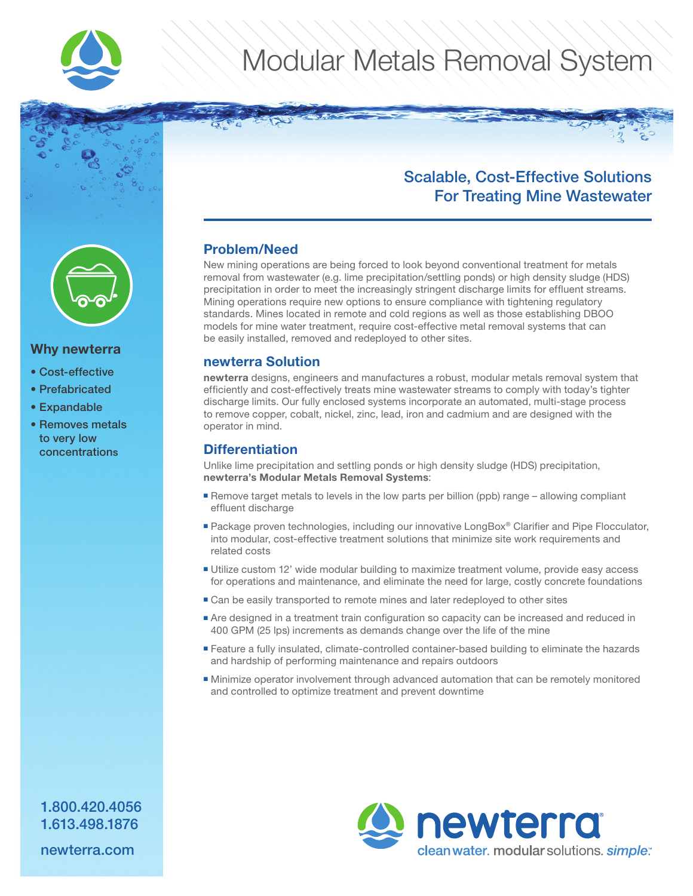

# Modular Metals Removal System



#### Why newterra

- Cost-effective
- Prefabricated
- Expandable
- Removes metals to very low concentrations

### Scalable, Cost-Effective Solutions For Treating Mine Wastewater

#### Problem/Need

New mining operations are being forced to look beyond conventional treatment for metals removal from wastewater (e.g. lime precipitation/settling ponds) or high density sludge (HDS) precipitation in order to meet the increasingly stringent discharge limits for effluent streams. Mining operations require new options to ensure compliance with tightening regulatory standards. Mines located in remote and cold regions as well as those establishing DBOO models for mine water treatment, require cost-effective metal removal systems that can be easily installed, removed and redeployed to other sites.

#### newterra Solution

newterra designs, engineers and manufactures a robust, modular metals removal system that efficiently and cost-effectively treats mine wastewater streams to comply with today's tighter discharge limits. Our fully enclosed systems incorporate an automated, multi-stage process to remove copper, cobalt, nickel, zinc, lead, iron and cadmium and are designed with the operator in mind.

#### **Differentiation**

Unlike lime precipitation and settling ponds or high density sludge (HDS) precipitation, newterra's Modular Metals Removal Systems:

- Remove target metals to levels in the low parts per billion (ppb) range allowing compliant effluent discharge
- Package proven technologies, including our innovative LongBox® Clarifier and Pipe Flocculator, into modular, cost-effective treatment solutions that minimize site work requirements and related costs
- Utilize custom 12' wide modular building to maximize treatment volume, provide easy access for operations and maintenance, and eliminate the need for large, costly concrete foundations
- Can be easily transported to remote mines and later redeployed to other sites
- Are designed in a treatment train configuration so capacity can be increased and reduced in 400 GPM (25 lps) increments as demands change over the life of the mine
- Feature a fully insulated, climate-controlled container-based building to eliminate the hazards and hardship of performing maintenance and repairs outdoors
- Minimize operator involvement through advanced automation that can be remotely monitored and controlled to optimize treatment and prevent downtime



1.800.420.4056 1.613.498.1876

newterra.com